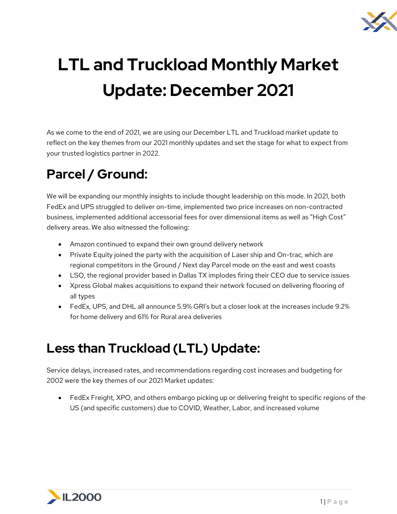

# **LTL and Truckload Monthly Market Update: December 2021**

As we come to the end of 2021, we are using our December LTL and Truckload market update to reflect on the key themes from our 2021 monthly updates and set the stage for what to expect from your trusted logistics partner in 2022.

## **Parcel / Ground:**

We will be expanding our monthly insights to include thought leadership on this mode. In 2021, both FedEx and UPS struggled to deliver on-time, implemented two price increases on non-contracted business, implemented additional accessorial fees for over dimensional items as well as "High Cost" delivery areas. We also witnessed the following:

- Amazon continued to expand their own ground delivery network
- Private Equity joined the party with the acquisition of Laser ship and On-trac, which are regional competitors in the Ground / Next day Parcel mode on the east and west coasts
- LSO, the regional provider based in Dallas TX implodes firing their CEO due to service issues
- Xpress Global makes acquisitions to expand their network focused on delivering flooring of all types
- FedEx, UPS, and DHL all announce 5.9% GRI's but a closer look at the increases include 9.2% for home delivery and 61% for Rural area deliveries

### **Less than Truckload (LTL) Update:**

Service delays, increased rates, and recommendations regarding cost increases and budgeting for 2002 were the key themes of our 2021 Market updates:

• FedEx Freight, XPO, and others embargo picking up or delivering freight to specific regions of the US (and specific customers) due to COVID, Weather, Labor, and increased volume

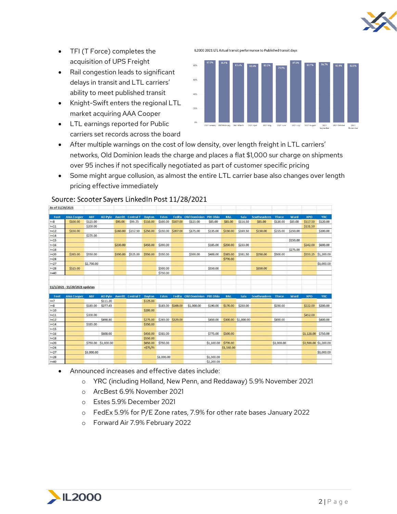

- TFI (T Force) completes the acquisition of UPS Freight
- Rail congestion leads to significant delays in transit and LTL carriers' ability to meet published transit
- Knight-Swift enters the regional LTL market acquiring AAA Cooper
- LTL earnings reported for Public carriers set records across the board

IL2000 2021 LTL Actual transit performance to Published transit days



- After multiple warnings on the cost of low density, over length freight in LTL carriers' networks, Old Dominion leads the charge and places a flat \$1,000 sur charge on shipments over 95 inches if not specifically negotiated as part of customer specific pricing
- Some might argue collusion, as almost the entire LTL carrier base also changes over length pricing effective immediately

| $\sim$                                                                                       |                                                     |            |                     |                |                                  |                      |                   |          |                                     |                  |                |                     |                     |               |          |                       |                     |
|----------------------------------------------------------------------------------------------|-----------------------------------------------------|------------|---------------------|----------------|----------------------------------|----------------------|-------------------|----------|-------------------------------------|------------------|----------------|---------------------|---------------------|---------------|----------|-----------------------|---------------------|
| Feet                                                                                         | <b>AAA</b> Cooper                                   | <b>ABF</b> | AD Pyle             | <b>Averitt</b> | <b>Central T</b>                 | <b>Dayton</b>        | <b>Estes</b>      | FedEx    | <b>Old Dominion</b>                 | <b>Pitt Ohio</b> | <b>R&amp;L</b> | Saia                | <b>Southeastern</b> | <b>Tforce</b> | Ward     | <b>XPO</b>            | <b>YRC</b>          |
| $>=8$                                                                                        | \$100.00                                            | \$125.00   |                     | \$95.00        | \$99.75                          | \$110.00             | \$100.00 \$107.00 |          | \$125.00                            | \$85.00          | \$85.00        | \$116.50            | \$85.00             | \$120.00      | \$85.00  | \$117.50              | \$120.00            |
| $> = 11$                                                                                     |                                                     | \$200.00   |                     |                |                                  |                      |                   |          |                                     |                  |                |                     |                     |               |          | \$131.50              |                     |
| $> = 12$                                                                                     | \$150.00                                            |            |                     |                | \$160.00 \$157.50                | \$250.00             | \$150.00          | \$207.00 | \$175.00                            | \$135.00         | \$150.00       | \$169.50            | \$150.00            | \$215.00      | \$150.00 |                       | \$300.00            |
| $>=14$                                                                                       |                                                     | \$275.00   |                     |                |                                  |                      |                   |          |                                     |                  |                |                     |                     |               |          |                       |                     |
| $>=15$                                                                                       |                                                     |            |                     |                |                                  |                      |                   |          |                                     |                  |                |                     |                     |               | \$150.00 |                       |                     |
| $>=16$                                                                                       |                                                     |            |                     | \$230.00       |                                  | \$450.00             | \$200.00          |          |                                     | \$185.00         | \$250.00       | \$233.00            |                     |               |          | \$242.00              | \$600.00            |
| $>=18$                                                                                       |                                                     |            |                     |                |                                  |                      |                   |          |                                     |                  |                |                     |                     |               | \$275.00 |                       |                     |
| $>=20$                                                                                       | \$265.00                                            | \$550.00   |                     |                | \$390.00 \$525.00                | \$550.00             | \$350.00          |          | \$300.00                            | \$400.00         | \$385.00       | \$381.50            | \$250.00            | \$500.00      |          |                       | \$553.25 \$1,200.00 |
| $>=24$                                                                                       |                                                     |            |                     |                |                                  |                      |                   |          |                                     |                  | \$770.00       |                     |                     |               |          |                       |                     |
| $>=27$                                                                                       |                                                     | \$2,750.00 |                     |                |                                  |                      |                   |          |                                     |                  |                |                     |                     |               |          |                       | \$3,000.00          |
| $>=28$                                                                                       | \$525.00                                            |            |                     |                |                                  |                      | \$500.00          |          |                                     | \$550.00         |                |                     | \$350.00            |               |          |                       |                     |
| $>=40$                                                                                       |                                                     |            |                     |                |                                  |                      | \$750.00          |          |                                     |                  |                |                     |                     |               |          |                       |                     |
| Feet                                                                                         | 11/1/2021 - 11/29/2021 updates<br><b>AAA</b> Cooper | <b>ABF</b> |                     |                | AD Pyle Averitt Central T Dayton |                      | <b>Estes</b>      |          | <b>FedEx</b> Old Dominion Pitt Ohio |                  | R&L            | Saia                | Southeastern Tforce |               | Ward     | <b>XPO</b>            | <b>YRC</b>          |
| $>=7$                                                                                        |                                                     |            | \$111.20            |                |                                  | \$125.00             |                   |          |                                     |                  |                |                     |                     |               |          |                       |                     |
| $>=8$                                                                                        |                                                     | \$185.00   | \$277.45            |                |                                  |                      | \$185.00 \$169.00 |          | \$1,000.00                          |                  |                |                     |                     |               |          |                       |                     |
| $>=10$                                                                                       |                                                     |            |                     |                |                                  |                      |                   |          |                                     |                  |                |                     |                     |               |          |                       |                     |
| $> = 11$                                                                                     |                                                     |            |                     |                |                                  |                      |                   |          |                                     | \$190.00         | \$170.00       | \$250.00            |                     | \$250.00      |          | \$222.00              | \$200.00            |
|                                                                                              |                                                     |            |                     |                |                                  | \$200.00             |                   |          |                                     |                  |                |                     |                     |               |          |                       |                     |
|                                                                                              |                                                     | \$300,00   |                     |                |                                  |                      |                   |          |                                     |                  |                |                     |                     |               |          | \$452.00              |                     |
|                                                                                              |                                                     |            | \$498.80            |                |                                  | \$275.00             | \$265.00 \$329.00 |          |                                     | \$450.00         |                | \$300.00 \$1,000.00 |                     | \$450.00      |          |                       | \$400.00            |
|                                                                                              |                                                     | \$385.00   |                     |                |                                  | \$350.00             |                   |          |                                     |                  |                |                     |                     |               |          |                       |                     |
|                                                                                              |                                                     |            |                     |                |                                  |                      |                   |          |                                     |                  |                |                     |                     |               |          |                       |                     |
|                                                                                              |                                                     |            | \$608.00            |                |                                  | \$450.00             | \$385.00          |          |                                     | \$775.00         | \$500.00       |                     |                     |               |          | \$1,128.00 \$750.00   |                     |
|                                                                                              |                                                     |            | \$750.00 \$1,000.00 |                |                                  | \$550.00<br>\$650.00 | \$750.00          |          |                                     | \$1,100.00       | \$770.00       |                     |                     | \$1,000.00    |          | \$3,500.00 \$1,200.00 |                     |
|                                                                                              |                                                     |            |                     |                |                                  | $+575/Ft$            |                   |          |                                     |                  | \$1,540.00     |                     |                     |               |          |                       |                     |
|                                                                                              |                                                     | \$3,000.00 |                     |                |                                  |                      |                   |          |                                     |                  |                |                     |                     |               |          |                       | \$3,000.00          |
| $> = 12$<br>$> = 14$<br>$> = 15$<br>$>=16$<br>$>=18$<br>$>=20$<br>$>=24$<br>$>=27$<br>$>=28$ |                                                     |            |                     |                |                                  |                      | \$1,000.00        |          |                                     | \$1,500.00       |                |                     |                     |               |          |                       |                     |

#### Source: Scooter Sayers LinkedIn Post 11/28/2021

 $\frac{1}{2}$ 

- Announced increases and effective dates include:
	- o YRC (including Holland, New Penn, and Reddaway) 5.9% November 2021
	- o ArcBest 6.9% November 2021
	- o Estes 5.9% December 2021
	- o FedEx 5.9% for P/E Zone rates, 7.9% for other rate bases January 2022
	- o Forward Air 7.9% February 2022

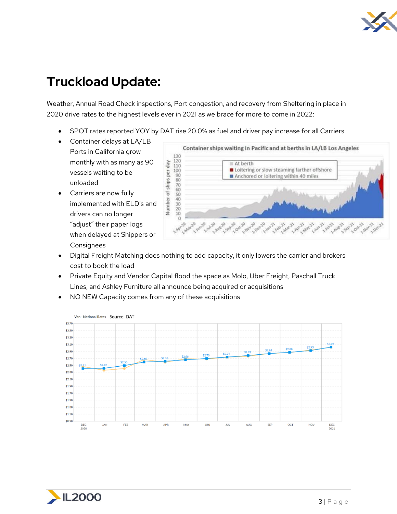

### **Truckload Update:**

Weather, Annual Road Check inspections, Port congestion, and recovery from Sheltering in place in 2020 drive rates to the highest levels ever in 2021 as we brace for more to come in 2022:

- SPOT rates reported YOY by DAT rise 20.0% as fuel and driver pay increase for all Carriers
- Container delays at LA/LB Ports in California grow monthly with as many as 90 vessels waiting to be unloaded
- Carriers are now fully implemented with ELD's and drivers can no longer "adjust" their paper logs when delayed at Shippers or Consignees



- Digital Freight Matching does nothing to add capacity, it only lowers the carrier and brokers cost to book the load
- Private Equity and Vendor Capital flood the space as Molo, Uber Freight, Paschall Truck Lines, and Ashley Furniture all announce being acquired or acquisitions
- NO NEW Capacity comes from any of these acquisitions